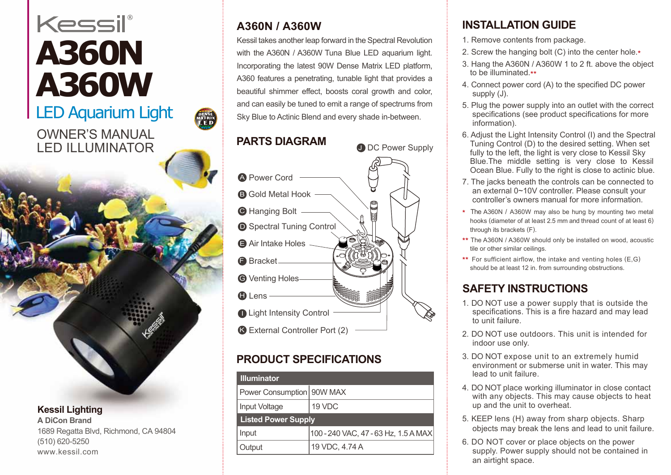# Kessil® **A360N A360W** LED Aquarium Light

## OWNER'S MANUAL LED ILLUMINATOR

**Kessil Lighting A DiCon Brand** 1689 Regatta Blvd, Richmond, CA 94804 (510) 620-5250 www.kessil.com

## **A360N / A360W**

Kessil takes another leap forward in the Spectral Revolution with the A360N / A360W Tuna Blue LED aquarium light. Incorporating the latest 90W Dense Matrix LED platform, A360 features a penetrating, tunable light that provides a beautiful shimmer effect, boosts coral growth and color, and can easily be tuned to emit a range of spectrums from Sky Blue to Actinic Blend and every shade in-between.

#### **PARTS DIAGRAM**



## **PRODUCT SPECIFICATIONS**

| <b>Illuminator</b>          |                                      |
|-----------------------------|--------------------------------------|
| Power Consumption   90W MAX |                                      |
| <b>Input Voltage</b>        | 19 VDC                               |
| <b>Listed Power Supply</b>  |                                      |
| Input                       | 100 - 240 VAC, 47 - 63 Hz, 1.5 A MAX |
| Output                      | 19 VDC, 4.74 A                       |

## **INSTALLATION GUIDE**

- 1. Remove contents from package.
- 2. Screw the hanging bolt (C) into the center hole.\*
- 3. Hang the A360N / A360W 1 to 2 ft. above the object to be illuminated \*\*
- 4. Connect power cord (A) to the specified DC power supply (J).
- 5. Plug the power supply into an outlet with the correct specifications (see product specifications for more information).
- 6. Adjust the Light Intensity Control (I) and the Spectral Tuning Control (D) to the desired setting. When set fully to the left, the light is very close to Kessil Skv Blue.The middle setting is very close to Kessil Ocean Blue. Fully to the right is close to actinic blue.
- 7. The jacks beneath the controls can be connected to an external 0~10V controller. Please consult your controller's owners manual for more information.
- \* The A360N / A360W may also be hung by mounting two metal hooks (diameter of at least 2.5 mm and thread count of at least 6) through its brackets (F).
- \*\* The A360N / A360W should only be installed on wood, acoustic tile or other similar ceilings.
- \*\* For sufficient airflow, the intake and venting holes (E,G) should be at least 12 in. from surrounding obstructions.

## **SAFETY INSTRUCTIONS**

- 1. DO NOT use a power supply that is outside the specifications. This is a fire hazard and may lead to unit failure.
- 2. DO NOT use outdoors. This unit is intended for indoor use only.
- 3. DO NOT expose unit to an extremely humid environment or submerse unit in water. This may lead to unit failure.
- 4. DO NOT place working illuminator in close contact with any objects. This may cause objects to heat up and the unit to overheat.
- 5. KEEP lens (H) away from sharp objects. Sharp objects may break the lens and lead to unit failure.
- 6. DO NOT cover or place objects on the power supply. Power supply should not be contained in an airtight space.